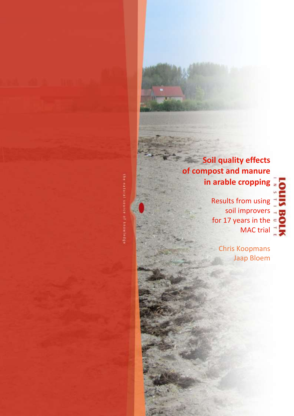**Soil quality effects of compost and manure in arable cropping**

> Results from using soil improvers for 17 years in the MAC trial

> > Chris Koopmans Jaap Bloem

the extent of knowledge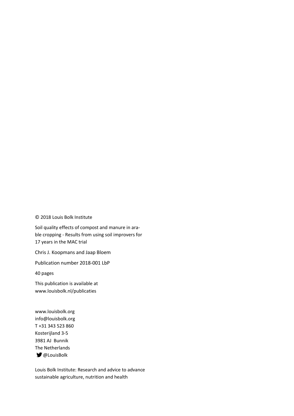© 2018 Louis Bolk Institute

Soil quality effects of compost and manure in arable cropping - Results from using soil improvers for 17 years in the MAC trial

Chris J. Koopmans and Jaap Bloem

Publication number 2018-001 LbP

40 pages

This publication is available at www.louisbolk.nl/publicaties

www.louisbolk.org info@louisbolk.org T +31 343 523 860 Kosterijland 3-5 3981 AJ Bunnik The Netherlands **■** @LouisBolk

Louis Bolk Institute: Research and advice to advance sustainable agriculture, nutrition and health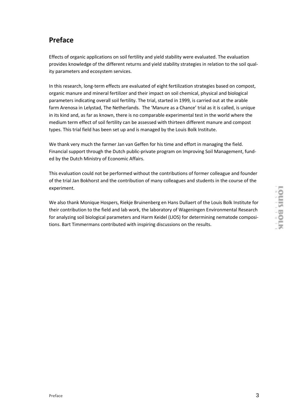# **Preface**

Effects of organic applications on soil fertility and yield stability were evaluated. The evaluation provides knowledge of the different returns and yield stability strategies in relation to the soil quality parameters and ecosystem services.

In this research, long-term effects are evaluated of eight fertilization strategies based on compost, organic manure and mineral fertilizer and their impact on soil chemical, physical and biological parameters indicating overall soil fertility. The trial, started in 1999, is carried out at the arable farm Arenosa in Lelystad, The Netherlands. The 'Manure as a Chance' trial as it is called, is unique in its kind and, as far as known, there is no comparable experimental test in the world where the medium term effect of soil fertility can be assessed with thirteen different manure and compost types. This trial field has been set up and is managed by the Louis Bolk Institute.

We thank very much the farmer Jan van Geffen for his time and effort in managing the field. Financial support through the Dutch public-private program on Improving Soil Management, funded by the Dutch Ministry of Economic Affairs.

This evaluation could not be performed without the contributions of former colleague and founder of the trial Jan Bokhorst and the contribution of many colleagues and students in the course of the experiment.

We also thank Monique Hospers, Riekje Bruinenberg en Hans Dullaert of the Louis Bolk Institute for their contribution to the field and lab work, the laboratory of Wageningen Environmental Research for analyzing soil biological parameters and Harm Keidel (LIOS) for determining nematode compositions. Bart Timmermans contributed with inspiring discussions on the results.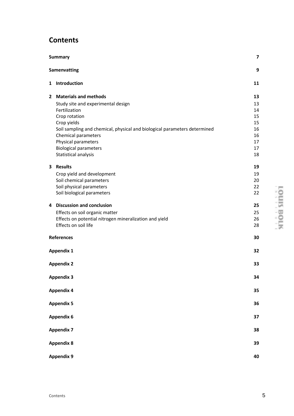# **Contents**

|   | <b>Summary</b>                                                            | $\overline{\phantom{a}}$ |
|---|---------------------------------------------------------------------------|--------------------------|
|   | <b>Samenvatting</b>                                                       | 9                        |
|   | 1 Introduction                                                            | 11                       |
|   | 2 Materials and methods                                                   | 13                       |
|   | Study site and experimental design                                        | 13                       |
|   | Fertilization                                                             | 14                       |
|   | Crop rotation                                                             | 15                       |
|   | Crop yields                                                               | 15                       |
|   | Soil sampling and chemical, physical and biological parameters determined | 16                       |
|   | Chemical parameters                                                       | 16                       |
|   | Physical parameters                                                       | 17                       |
|   | <b>Biological parameters</b>                                              | 17                       |
|   | Statistical analysis                                                      | 18                       |
| 3 | <b>Results</b>                                                            | 19                       |
|   | Crop yield and development                                                | 19                       |
|   | Soil chemical parameters                                                  | 20                       |
|   | Soil physical parameters                                                  | 22                       |
|   | Soil biological parameters                                                | 22                       |
| 4 | <b>Discussion and conclusion</b>                                          | 25                       |
|   | Effects on soil organic matter                                            | 25                       |
|   | Effects on potential nitrogen mineralization and yield                    | 26                       |
|   | Effects on soil life                                                      | 28                       |
|   | References                                                                | 30                       |
|   | <b>Appendix 1</b>                                                         | 32                       |
|   | <b>Appendix 2</b>                                                         | 33                       |
|   | <b>Appendix 3</b>                                                         | 34                       |
|   | <b>Appendix 4</b>                                                         | 35                       |
|   | <b>Appendix 5</b>                                                         | 36                       |
|   | Appendix 6                                                                | 37                       |
|   | <b>Appendix 7</b>                                                         | 38                       |
|   | <b>Appendix 8</b>                                                         | 39                       |
|   | <b>Appendix 9</b>                                                         | 40                       |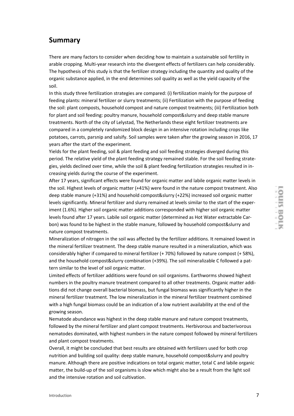### **Summary**

There are many factors to consider when deciding how to maintain a sustainable soil fertility in arable cropping. Multi-year research into the divergent effects of fertilizers can help considerably. The hypothesis of this study is that the fertilizer strategy including the quantity and quality of the organic substance applied, in the end determines soil quality as well as the yield capacity of the soil.

In this study three fertilization strategies are compared: (i) fertilization mainly for the purpose of feeding plants: mineral fertilizer or slurry treatments; (ii) Fertilization with the purpose of feeding the soil: plant composts, household compost and nature compost treatments; (iii) Fertilization both for plant and soil feeding: poultry manure, household compost&slurry and deep stable manure treatments. North of the city of Lelystad, The Netherlands these eight fertilizer treatments are compared in a completely randomized block design in an intensive rotation including crops like potatoes, carrots, parsnip and salsify. Soil samples were taken after the growing season in 2016, 17 years after the start of the experiment.

Yields for the plant feeding, soil & plant feeding and soil feeding strategies diverged during this period. The relative yield of the plant feeding strategy remained stable. For the soil feeding strategies, yields declined over time, while the soil & plant feeding fertilization strategies resulted in increasing yields during the course of the experiment.

After 17 years, significant effects were found for organic matter and labile organic matter levels in the soil. Highest levels of organic matter (+41%) were found in the nature compost treatment. Also deep stable manure (+31%) and household compost&slurry (+22%) increased soil organic matter levels significantly. Mineral fertilizer and slurry remained at levels similar to the start of the experiment (1.6%). Higher soil organic matter additions corresponded with higher soil organic matter levels found after 17 years. Labile soil organic matter (determined as Hot Water extractable Carbon) was found to be highest in the stable manure, followed by household compost&slurry and nature compost treatments.

Mineralization of nitrogen in the soil was affected by the fertilizer additions. It remained lowest in the mineral fertilizer treatment. The deep stable manure resulted in a mineralization, which was considerably higher if compared to mineral fertilizer (+ 70%) followed by nature compost (+ 58%), and the household compost&slurry combination (+39%). The soil mineralizable C followed a pattern similar to the level of soil organic matter.

Limited effects of fertilizer additions were found on soil organisms. Earthworms showed highest numbers in the poultry manure treatment compared to all other treatments. Organic matter additions did not change overall bacterial biomass, but fungal biomass was significantly higher in the mineral fertilizer treatment. The low mineralization in the mineral fertilizer treatment combined with a high fungal biomass could be an indication of a low nutrient availability at the end of the growing season.

Nematode abundance was highest in the deep stable manure and nature compost treatments, followed by the mineral fertilizer and plant compost treatments. Herbivorous and bacterivorous nematodes dominated, with highest numbers in the nature compost followed by mineral fertilizers and plant compost treatments.

Overall, it might be concluded that best results are obtained with fertilizers used for both crop nutrition and building soil quality: deep stable manure, household compost&slurry and poultry manure. Although there are positive indications on total organic matter, total C and labile organic matter, the build-up of the soil organisms is slow which might also be a result from the light soil and the intensive rotation and soil cultivation.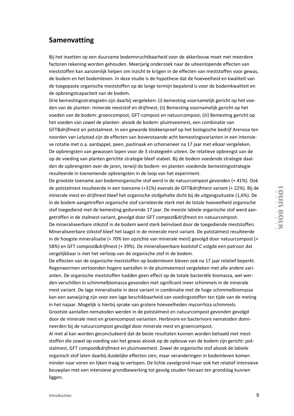### **Samenvatting**

Bij het inzetten op een duurzame bodemvruchtbaarheid voor de akkerbouw moet met meerdere factoren rekening worden gehouden. Meerjarig onderzoek naar de uiteenlopende effecten van meststoffen kan aanzienlijk helpen om inzicht te krijgen in de effecten van meststoffen voor gewas, de bodem en het bodemleven. In deze studie is de hypothese dat de hoeveelheid en kwaliteit van de toegepaste organische meststoffen op de lange termijn bepalend is voor de bodemkwaliteit en de opbrengstcapaciteit van de bodem.

Drie bemestingsstrategieën zijn daarbij vergeleken: (i) bemesting voornamelijk gericht op het voeden van de planten: minerale meststof en drijfmest; (ii) Bemesting voornamelijk gericht op het voeden van de bodem: groencompost, GFT-compost en natuurcompost; (iii) Bemesting gericht op het voeden van zowel de planten- alsook de bodem: pluimveemest, een combinatie van GFT&drijfmest en potstalmest. In een gewarde blokkenproef op het biologische bedrijf Arenosa ten noorden van Lelystad zijn de effecten van bovenstaande acht bemestingsvarianten in een intensieve rotatie met o.a. aardappel, peen, pastinaak en schorseneer na 17 jaar met elkaar vergeleken. De opbrengsten van gewassen lopen voor de 3 strategieën uiteen. De relatieve opbrengst van de op de voeding van planten gerichte strategie bleef stabiel. Bij de bodem voedende strategie daalden de opbrengsten over de jaren, terwijl de bodem- en planten voedende bemestingsstrategie resulteerde in toenemende opbrengsten in de loop van het experiment.

De grootste toename aan bodemorganische stof werd in de natuurcompost gevonden (+ 41%). Ook de potstalmest resulteerde in een toename (+31%) evenals de GFT&drijfmest variant (+ 22%). Bij de minerale mest en drijfmest bleef het organische stofgehalte dicht bij de uitgangssituatie (1,6%). De in de bodem aangetroffen organische stof correleerde sterk met de totale hoeveelheid organische stof toegediend met de bemesting gedurende 17 jaar. De meeste labiele organische stof werd aangetroffen in de stalmest variant, gevolgd door GFT compost&drijfmest en natuurcompost.

De mineraliseerbare stikstof in de bodem werd sterk beïnvloed door de toegediende meststoffen. Mineraliseerbare stikstof bleef het laagst in de minerale mest variant. De potstalmest resulteerde in de hoogste mineralisatie (+ 70% ten opzichte van minerale mest) gevolgd door natuurcompost (+ 58%) en GFT compost&drijfmest (+ 39%). De mineraliseerbare koolstof C volgde een patroon dat vergelijkbaar is met het verloop van de organische stof in de bodem.

De effecten van de organische meststoffen op bodemleven bleven ook na 17 jaar relatief beperkt. Regenwormen vertoonden hogere aantallen in de pluimveemest vergeleken met alle andere varianten. De organische meststoffen hadden geen effect op de totale bacteriële biomassa, wel werden verschillen in schimmelbiomassa gevonden met significant meer schimmels in de minerale mest variant. De lage mineralisatie in deze variant in combinatie met de hoge schimmelbiomassa kan een aanwijzing zijn voor een lage beschikbaarheid van voedingsstoffen ten tijde van de meting in het najaar. Mogelijk is hierbij sprake van grotere hoeveelheden mycorrhiza schimmels.

Grootste aantallen nematoden werden in de potstalmest en natuurcompost gevonden gevolgd door de minerale mest en groencompost varianten. Herbivore en bacterivore nematoden domineerden bij de natuurcompost gevolgd door minerale mest en groencompost.

Al met al kan worden geconcludeerd dat de beste resultaten kunnen worden behaald met meststoffen die zowel op voeding van het gewas alsook op de opbouw van de bodem zijn gericht: potstalmest, GFT compost&drijfmest en pluimveemest. Zowel de organische stof alsook de labiele organisch stof laten daarbij duidelijke effecten zien, maar veranderingen in bodemleven komen minder naar voren en lijken traag te verlopen. De lichte zavelgrond maar ook het relatief intensieve bouwplan met een intensieve grondbewerking tot gevolg zouden hieraan ten grondslag kunnen liggen.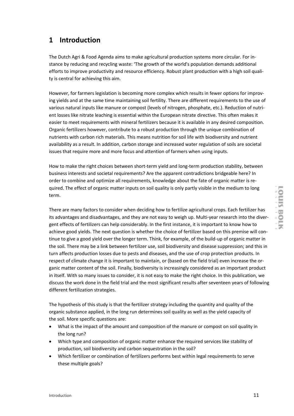# **1 Introduction**

The Dutch Agri & Food Agenda aims to make agricultural production systems more circular. For instance by reducing and recycling waste: 'The growth of the world's population demands additional efforts to improve productivity and resource efficiency. Robust plant production with a high soil quality is central for achieving this aim.

However, for farmers legislation is becoming more complex which results in fewer options for improving yields and at the same time maintaining soil fertility. There are different requirements to the use of various natural inputs like manure or compost (levels of nitrogen, phosphate, etc.). Reduction of nutrient losses like nitrate leaching is essential within the European nitrate directive. This often makes it easier to meet requirements with mineral fertilizers because it is available in any desired composition. Organic fertilizers however, contribute to a robust production through the unique combination of nutrients with carbon rich materials. This means nutrition for soil life with biodiversity and nutrient availability as a result. In addition, carbon storage and increased water regulation of soils are societal issues that require more and more focus and attention of farmers when using inputs.

How to make the right choices between short-term yield and long-term production stability, between business interests and societal requirements? Are the apparent contradictions bridgeable here? In order to combine and optimize all requirements, knowledge about the fate of organic matter is required. The effect of organic matter inputs on soil quality is only partly visible in the medium to long term.

There are many factors to consider when deciding how to fertilize agricultural crops. Each fertilizer has its advantages and disadvantages, and they are not easy to weigh up. Multi-year research into the divergent effects of fertilizers can help considerably. In the first instance, it is important to know how to achieve good yields. The next question is whether the choice of fertilizer based on this premise will continue to give a good yield over the longer term. Think, for example, of the build-up of organic matter in the soil. There may be a link between fertilizer use, soil biodiversity and disease suppression; and this in turn affects production losses due to pests and diseases, and the use of crop protection products. In respect of climate change it is important to maintain, or (based on the field trial) even increase the organic matter content of the soil. Finally, biodiversity is increasingly considered as an important product in itself. With so many issues to consider, it is not easy to make the right choice. In this publication, we discuss the work done in the field trial and the most significant results after seventeen years of following different fertilization strategies.

The hypothesis of this study is that the fertilizer strategy including the quantity and quality of the organic substance applied, in the long run determines soil quality as well as the yield capacity of the soil. More specific questions are:

- What is the impact of the amount and composition of the manure or compost on soil quality in the long run?
- Which type and composition of organic matter enhance the required services like stability of production, soil biodiversity and carbon sequestration in the soil?
- Which fertilizer or combination of fertilizers performs best within legal requirements to serve these multiple goals?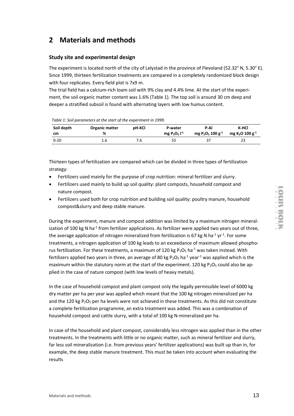# **2 Materials and methods**

#### **Study site and experimental design**

The experiment is located north of the city of Lelystad in the province of Flevoland (52.32° N, 5.30° E). Since 1999, thirteen fertilization treatments are compared in a completely randomized block design with four replicates. Every field plot is 7x9 m.

The trial field has a calcium-rich loam soil with 9% clay and 4.4% lime. At the start of the experiment, the soil organic matter content was 1.6% [\(Table 1\)](#page-12-0). The top soil is around 30 cm deep and deeper a stratified subsoil is found with alternating layers with low humus content.

<span id="page-12-0"></span>*Table 1: Soil parameters at the start of the experiment in 1999.*

| Soil depth | <b>Organic matter</b> | pH-KCl | P-water           | P-AI                            | K-HCI                                   |
|------------|-----------------------|--------|-------------------|---------------------------------|-----------------------------------------|
| cm         | %                     |        | mg $P_2O_5I^{-1}$ | mg $P_2O_5$ 100 g <sup>-1</sup> | mg K <sub>2</sub> O 100 g <sup>-1</sup> |
| $0 - 20$   | 1.b                   | 7.6    | 55                | 37                              | 23                                      |

Thirteen types of fertilization are compared which can be divided in three types of fertilization strategy:

- Fertilizers used mainly for the purpose of crop nutrition: mineral fertilizer and slurry.
- Fertilizers used mainly to build up soil quality: plant composts, household compost and nature compost.
- Fertilizers used both for crop nutrition and building soil quality: poultry manure, household compost&slurry and deep stable manure.

During the experiment, manure and compost addition was limited by a maximum nitrogen mineralization of 100 kg N ha<sup>-1</sup> from fertilizer applications. As fertilizer were applied two years out of three, the average application of nitrogen mineralized from fertilization is 67 kg N ha<sup>-1</sup> yr<sup>-1</sup>. For some treatments, a nitrogen application of 100 kg leads to an exceedance of maximum allowed phosphorus fertilization. For these treatments, a maximum of 120 kg  $P_2O_5$  ha<sup>-1</sup> was taken instead. With fertilizers applied two years in three, an average of 80 kg  $P_2O_5$  ha<sup>-1</sup> year<sup>-1</sup> was applied which is the maximum within the statutory norm at the start of the experiment. 120 kg  $P_2O_5$  could also be applied in the case of nature compost (with low levels of heavy metals).

In the case of household compost and plant compost only the legally permissible level of 6000 kg dry matter per ha per year was applied which meant that the 100 kg nitrogen mineralized per ha and the 120 kg  $P_2O_5$  per ha levels were not achieved in these treatments. As this did not constitute a complete fertilization programme, an extra treatment was added. This was a combination of household compost and cattle slurry, with a total of 100 kg N-mineralized per ha.

In case of the household and plant compost, considerably less nitrogen was applied than in the other treatments. In the treatments with little or no organic matter, such as mineral fertilizer and slurry, far less soil mineralization (i.e. from previous years' fertilizer applications) was built up than in, for example, the deep stable manure treatment. This must be taken into account when evaluating the results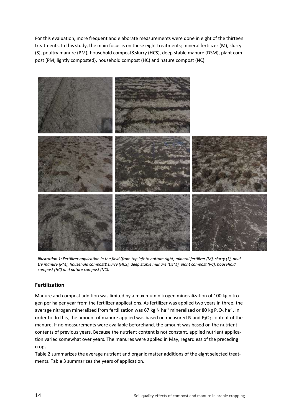For this evaluation, more frequent and elaborate measurements were done in eight of the thirteen treatments. In this study, the main focus is on these eight treatments; mineral fertilizer (M), slurry (S), poultry manure (PM), household compost&slurry (HCS), deep stable manure (DSM), plant compost (PM; lightly composted), household compost (HC) and nature compost (NC).



*Illustration 1: Fertilizer application in the field (from top left to bottom right) mineral fertilizer (M), slurry (S), poultry manure (PM), household compost&slurry (HCS), deep stable manure (DSM), plant compost (PC), household compost (HC) and nature compost (NC).*

#### **Fertilization**

Manure and compost addition was limited by a maximum nitrogen mineralization of 100 kg nitrogen per ha per year from the fertilizer applications. As fertilizer was applied two years in three, the average nitrogen mineralized from fertilization was 67 kg N ha<sup>-1</sup> mineralized or 80 kg P<sub>2</sub>O<sub>5</sub> ha<sup>-1</sup>. In order to do this, the amount of manure applied was based on measured N and  $P_2O_5$  content of the manure. If no measurements were available beforehand, the amount was based on the nutrient contents of previous years. Because the nutrient content is not constant, applied nutrient application varied somewhat over years. The manures were applied in May, regardless of the preceding crops.

[Table 2](#page-14-0) summarizes the average nutrient and organic matter additions of the eight selected treatments[. Table 3](#page-14-1) summarizes the years of application.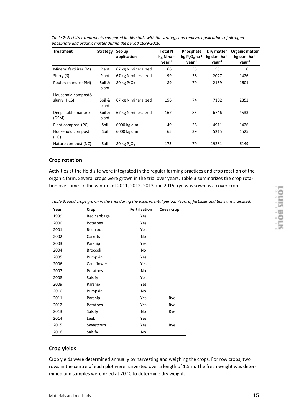| <b>Treatment</b>            | <b>Strategy</b><br>Set-up<br>application |                                        | Total N<br>$kg$ N ha $^{-1}$<br>$year-1$ | Phosphate<br>$kg P2O5$ ha <sup>-1</sup><br>$year-1$ | Dry matter<br>$kg$ d.m. ha $-1$<br>$year-1$ | Organic matter<br>$kg$ o.m. ha $-1$<br>year <sup>1</sup> |
|-----------------------------|------------------------------------------|----------------------------------------|------------------------------------------|-----------------------------------------------------|---------------------------------------------|----------------------------------------------------------|
| Mineral fertilizer (M)      | Plant                                    | 67 kg N mineralized                    | 66                                       | 55                                                  | 551                                         | 0                                                        |
| Slurry (S)                  | Plant                                    | 67 kg N mineralized                    | 99                                       | 38                                                  | 2027                                        | 1426                                                     |
| Poultry manure (PM)         | Soil &<br>plant                          | 80 kg $P_2O_5$                         | 89                                       | 79                                                  | 2169                                        | 1601                                                     |
| Household compost&          |                                          |                                        |                                          |                                                     |                                             |                                                          |
| slurry (HCS)                | Soil &<br>plant                          | 67 kg N mineralized                    | 156                                      | 74                                                  | 7102                                        | 2852                                                     |
| Deep stable manure<br>(DSM) | Soil &<br>plant                          | 67 kg N mineralized                    | 167                                      | 85                                                  | 6746                                        | 4533                                                     |
| Plant compost (PC)          | Soil                                     | 6000 kg d.m.                           | 49                                       | 26                                                  | 4911                                        | 1426                                                     |
| Household compost<br>(HC)   | Soil                                     | 6000 kg d.m.                           | 65                                       | 39                                                  | 5215                                        | 1525                                                     |
| Nature compost (NC)         | Soil                                     | $80 \text{ kg} \text{ P}_2 \text{O}_5$ | 175                                      | 79                                                  | 19281                                       | 6149                                                     |

<span id="page-14-0"></span>*Table 2: Fertilizer treatments compared in this study with the strategy and realised applications of nitrogen, phosphate and organic matter during the period 1999-2016.* 

#### **Crop rotation**

Activities at the field site were integrated in the regular farming practices and crop rotation of the organic farm. Several crops were grown in the trial over years. [Table 3](#page-14-1) summarizes the crop rotation over time. In the winters of 2011, 2012, 2013 and 2015, rye was sown as a cover crop.

<span id="page-14-1"></span>*Table 3: Field crops grown in the trial during the experimental period. Years of fertilizer additions are indicated.*

| Year | Crop        | <b>Fertilization</b> | Cover crop |
|------|-------------|----------------------|------------|
| 1999 | Red cabbage | Yes                  |            |
| 2000 | Potatoes    | Yes                  |            |
| 2001 | Beetroot    | Yes                  |            |
| 2002 | Carrots     | No                   |            |
| 2003 | Parsnip     | Yes                  |            |
| 2004 | Broccoli    | No                   |            |
| 2005 | Pumpkin     | Yes                  |            |
| 2006 | Cauliflower | Yes                  |            |
| 2007 | Potatoes    | No                   |            |
| 2008 | Salsify     | Yes                  |            |
| 2009 | Parsnip     | Yes                  |            |
| 2010 | Pumpkin     | No                   |            |
| 2011 | Parsnip     | Yes                  | Rye        |
| 2012 | Potatoes    | Yes                  | Rye        |
| 2013 | Salsify     | No                   | Rye        |
| 2014 | Leek        | Yes                  |            |
| 2015 | Sweetcorn   | Yes                  | Rye        |
| 2016 | Salsify     | No                   |            |

#### **Crop yields**

Crop yields were determined annually by harvesting and weighing the crops. For row crops, two rows in the centre of each plot were harvested over a length of 1.5 m. The fresh weight was determined and samples were dried at 70 °C to determine dry weight.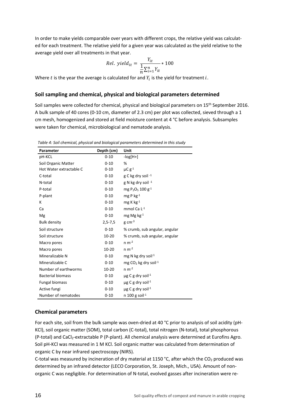In order to make yields comparable over years with different crops, the relative yield was calculated for each treatment. The relative yield for a given year was calculated as the yield relative to the average yield over all treatments in that year.

$$
Rel. yield_{it} = \frac{Y_{it}}{\frac{1}{n} \sum_{i=1}^{n} Y_{it}} * 100
$$

Where  $t$  is the year the average is calculated for and  $Y_i$  is the yield for treatment  $i$ .

#### **Soil sampling and chemical, physical and biological parameters determined**

Soil samples were collected for chemical, physical and biological parameters on 15<sup>th</sup> September 2016. A bulk sample of 40 cores (0-10 cm, diameter of 2.3 cm) per plot was collected, sieved through a 1 cm mesh, homogenized and stored at field moisture content at 4 °C before analysis. Subsamples were taken for chemical, microbiological and nematode analysis.

| Parameter                | Depth (cm)  | Unit                                                 |
|--------------------------|-------------|------------------------------------------------------|
| pH-KCL                   | $0 - 10$    | $-log[H+]$                                           |
| Soil Organic Matter      | $0 - 10$    | %                                                    |
| Hot Water extractable C  | $0 - 10$    | $\mu C$ g <sup>-1</sup>                              |
| C-total                  | $0 - 10$    | g C kg dry soil -1                                   |
| N-total                  | $0 - 10$    | g N kg dry soil -1                                   |
| P-total                  | $0 - 10$    | mg P <sub>2</sub> O <sub>5</sub> 100 g <sup>-1</sup> |
| P-plant                  | $0 - 10$    | mg P $kg^{-1}$                                       |
| К                        | $0 - 10$    | mg K $kg^{-1}$                                       |
| Ca                       | $0 - 10$    | mmol Ca $L^{-1}$                                     |
| Mg                       | $0 - 10$    | mg Mg $kg^{-1}$                                      |
| <b>Bulk density</b>      | $2,5 - 7,5$ | $g \text{ cm}^{-3}$                                  |
| Soil structure           | $0 - 10$    | % crumb, sub angular, angular                        |
| Soil structure           | 10-20       | % crumb, sub angular, angular                        |
| Macro pores              | $0 - 10$    | $n m-2$                                              |
| Macro pores              | 10-20       | $n m-2$                                              |
| Mineralizable N          | $0 - 10$    | mg N kg dry soil <sup>-1</sup>                       |
| Mineralizable C          | $0 - 10$    | mg $CO2$ kg dry soil <sup>-1</sup>                   |
| Number of earthworms     | 10-20       | $n m-2$                                              |
| <b>Bacterial biomass</b> | $0 - 10$    | $\mu$ g C g dry soil-1                               |
| <b>Fungal biomass</b>    | $0 - 10$    | $\mu$ g C g dry soil-1                               |
| Active fungi             | $0 - 10$    | $\mu$ g C g dry soil <sup>-1</sup>                   |
| Number of nematodes      | $0 - 10$    | n 100 g soil $-1$                                    |

*Table 4: Soil chemical, physical and biological parameters determined in this study*

#### **Chemical parameters**

For each site, soil from the bulk sample was oven-dried at 40 °C prior to analysis of soil acidity (pH-KCl), soil organic matter (SOM), total carbon (C-total), total nitrogen (N-total), total phosphorous (P-total) and CaCl<sub>2</sub>-extractable P (P-plant). All chemical analysis were determined at Eurofins Agro. Soil pH-KCl was measured in 1 M KCl. Soil organic matter was calculated from determination of organic C by near infrared spectroscopy (NIRS).

C-total was measured by incineration of dry material at 1150 °C, after which the CO<sub>2</sub> produced was determined by an infrared detector (LECO Corporation, St. Joseph, Mich., USA). Amount of nonorganic C was negligible. For determination of N-total, evolved gasses after incineration were re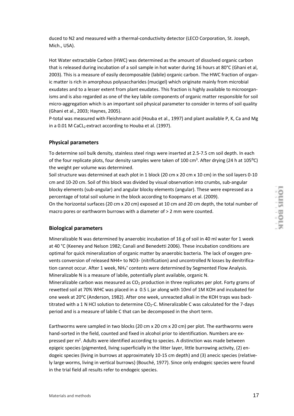duced to N2 and measured with a thermal-conductivity detector (LECO Corporation, St. Joseph, Mich., USA).

Hot Water extractable Carbon (HWC) was determined as the amount of dissolved organic carbon that is released during incubation of a soil sample in hot water during 16 hours at 80°C (Ghani et al, 2003). This is a measure of easily decomposable (labile) organic carbon. The HWC fraction of organic matter is rich in amorphous polysaccharides (mucigel) which originate mainly from microbial exudates and to a lesser extent from plant exudates. This fraction is highly available to microorganisms and is also regarded as one of the key labile components of organic matter responsible for soil micro-aggregation which is an important soil physical parameter to consider in terms of soil quality (Ghani et al., 2003; Haynes, 2005).

P-total was measured with Fleishmann acid (Houba et al., 1997) and plant available P, K, Ca and Mg in a 0.01 M CaCL<sub>2</sub> extract according to Houba et al. (1997).

#### **Physical parameters**

To determine soil bulk density, stainless steel rings were inserted at 2.5-7.5 cm soil depth. In each of the four replicate plots, four density samples were taken of 100 cm<sup>3</sup>. After drying (24 h at 105°C) the weight per volume was determined.

Soil structure was determined at each plot in 1 block (20 cm x 20 cm x 10 cm) in the soil layers 0-10 cm and 10-20 cm. Soil of this block was divided by visual observation into crumbs, sub-angular blocky elements (sub-angular) and angular blocky elements (angular). These were expressed as a percentage of total soil volume in the block according to Koopmans et al. (2009).

On the horizontal surfaces (20 cm x 20 cm) exposed at 10 cm and 20 cm depth, the total number of macro pores or earthworm burrows with a diameter of > 2 mm were counted.

#### **Biological parameters**

Mineralizable N was determined by anaerobic incubation of 16 g of soil in 40 ml water for 1 week at 40 °C (Keeney and Nelson 1982; Canali and Benedetti 2006). These incubation conditions are optimal for quick mineralization of organic matter by anaerobic bacteria. The lack of oxygen prevents conversion of released NH4+ to NO3- (nitrification) and uncontrolled N losses by denitrification cannot occur. After 1 week, NH<sub>4</sub><sup>+</sup> contents were determined by Segmented Flow Analysis. Mineralizable N is a measure of labile, potentially plant available, organic N.

Mineralizable carbon was measured as  $CO<sub>2</sub>$  production in three replicates per plot. Forty grams of rewetted soil at 70% WHC was placed in a 0.5 L jar along with 10ml of 1M KOH and incubated for one week at 20°C (Anderson, 1982). After one week, unreacted alkali in the KOH traps was backtitrated with a 1 N HCl solution to determine CO<sub>2</sub>-C. Mineralizable C was calculated for the 7-days period and is a measure of labile C that can be decomposed in the short term.

Earthworms were sampled in two blocks (20 cm x 20 cm x 20 cm) per plot. The earthworms were hand-sorted in the field, counted and fixed in alcohol prior to identification. Numbers are expressed per m<sup>2</sup>. Adults were identified according to species. A distinction was made between epigeic species (pigmented, living superficially in the litter layer, little burrowing activity, (2) endogeic species (living in burrows at approximately 10-15 cm depth) and (3) anecic species (relatively large worms, living in vertical burrows) (Bouché, 1977). Since only endogeic species were found in the trial field all results refer to endogeic species.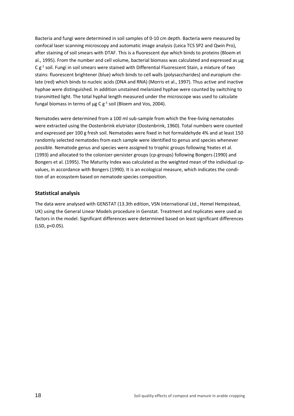Bacteria and fungi were determined in soil samples of 0-10 cm depth. Bacteria were measured by confocal laser scanning microscopy and automatic image analysis (Leica TCS SP2 and Qwin Pro), after staining of soil smears with DTAF. This is a fluorescent dye which binds to proteins (Bloem et al., 1995). From the number and cell volume, bacterial biomass was calculated and expressed as µg C  $g^{-1}$  soil. Fungi in soil smears were stained with Differential Fluorescent Stain, a mixture of two stains: fluorescent brightener (blue) which binds to cell walls (polysaccharides) and europium chelate (red) which binds to nucleic acids (DNA and RNA) (Morris et al., 1997). Thus active and inactive hyphae were distinguished. In addition unstained melanized hyphae were counted by switching to transmitted light. The total hyphal length measured under the microscope was used to calculate fungal biomass in terms of  $\mu$ g C g<sup>-1</sup> soil (Bloem and Vos, 2004).

Nematodes were determined from a 100 ml sub-sample from which the free-living nematodes were extracted using the Oostenbrink elutriator (Oostenbrink, 1960). Total numbers were counted and expressed per 100 g fresh soil. Nematodes were fixed in hot formaldehyde 4% and at least 150 randomly selected nematodes from each sample were identified to genus and species whenever possible. Nematode genus and species were assigned to trophic groups following Yeates et al. (1993) and allocated to the colonizer-persister groups (cp-groups) following Bongers (1990) and Bongers et al. (1995). The Maturity Index was calculated as the weighted mean of the individual cpvalues, in accordance with Bongers (1990). It is an ecological measure, which indicates the condition of an ecosystem based on nematode species composition.

#### **Statistical analysis**

The data were analysed with GENSTAT (13.3th edition, VSN International Ltd., Hemel Hempstead, UK) using the General Linear Models procedure in Genstat. Treatment and replicates were used as factors in the model. Significant differences were determined based on least significant differences (LSD, p<0.05).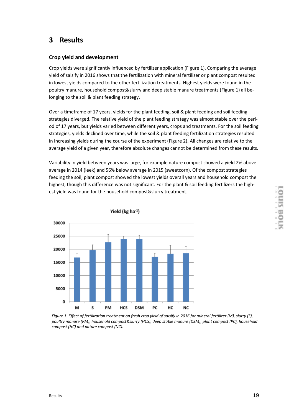### **3 Results**

#### **Crop yield and development**

Crop yields were significantly influenced by fertilizer application [\(Figure 1\)](#page-18-0). Comparing the average yield of salsify in 2016 shows that the fertilization with mineral fertilizer or plant compost resulted in lowest yields compared to the other fertilization treatments. Highest yields were found in the poultry manure, household compost&slurry and deep stable manure treatments [\(Figure 1\)](#page-18-0) all belonging to the soil & plant feeding strategy.

Over a timeframe of 17 years, yields for the plant feeding, soil & plant feeding and soil feeding strategies diverged. The relative yield of the plant feeding strategy was almost stable over the period of 17 years, but yields varied between different years, crops and treatments. For the soil feeding strategies, yields declined over time, while the soil & plant feeding fertilization strategies resulted in increasing yields during the course of the experiment [\(Figure 2\)](#page-19-0). All changes are relative to the average yield of a given year, therefore absolute changes cannot be determined from these results.

Variability in yield between years was large, for example nature compost showed a yield 2% above average in 2014 (leek) and 56% below average in 2015 (sweetcorn). Of the compost strategies feeding the soil, plant compost showed the lowest yields overall years and household compost the highest, though this difference was not significant. For the plant & soil feeding fertilizers the highest yield was found for the household compost&slurry treatment.



Yield ( $kg$  ha $^{-1}$ )

<span id="page-18-0"></span>*Figure 1: Effect of fertilization treatment on fresh crop yield of salsify in 2016 for mineral fertilizer (M), slurry (S), poultry manure (PM), household compost&slurry (HCS), deep stable manure (DSM), plant compost (PC), household compost (HC) and nature compost (NC).*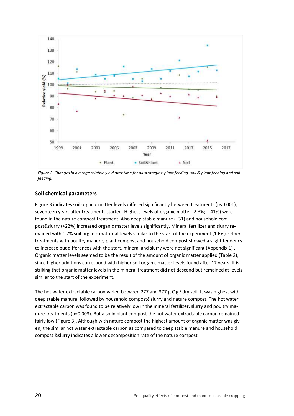

<span id="page-19-0"></span>*Figure 2: Changes in average relative yield over time for all strategies: plant feeding, soil & plant feeding and soil feeding.* 

#### **Soil chemical parameters**

[Figure 3](#page-20-0) indicates soil organic matter levels differed significantly between treatments (p<0.001), seventeen years after treatments started. Highest levels of organic matter (2.3%; + 41%) were found in the nature compost treatment. Also deep stable manure (+31) and household compost&slurry (+22%) increased organic matter levels significantly. Mineral fertilizer and slurry remained with 1.7% soil organic matter at levels similar to the start of the experiment (1.6%). Other treatments with poultry manure, plant compost and household compost showed a slight tendency to increase but differences with the start, mineral and slurry were not significant [\(Appendix 1\)](#page-31-0) . Organic matter levels seemed to be the result of the amount of organic matter applied [\(Table 2\)](#page-14-0), since higher additions correspond with higher soil organic matter levels found after 17 years. It is striking that organic matter levels in the mineral treatment did not descend but remained at levels similar to the start of the experiment.

The hot water extractable carbon varied between 277 and 377  $\mu$  C g<sup>-1</sup> dry soil. It was highest with deep stable manure, followed by household compost&slurry and nature compost. The hot water extractable carbon was found to be relatively low in the mineral fertilizer, slurry and poultry manure treatments (p=0.003). But also in plant compost the hot water extractable carbon remained fairly low [\(Figure 3\)](#page-20-0). Although with nature compost the highest amount of organic matter was given, the similar hot water extractable carbon as compared to deep stable manure and household compost &slurry indicates a lower decomposition rate of the nature compost.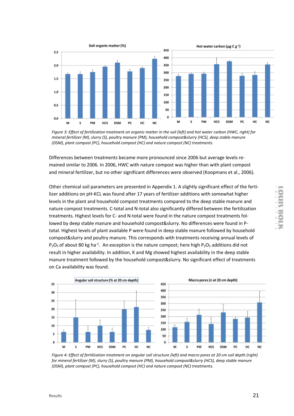

<span id="page-20-0"></span>*Figure 3: Effect of fertilization treatment on organic matter in the soil (left) and hot water carbon (HWC, right) for mineral fertilizer (M), slurry (S), poultry manure (PM), household compost&slurry (HCS), deep stable manure (DSM), plant compost (PC), household compost (HC) and nature compost (NC) treatments.*

Differences between treatments became more pronounced since 2006 but average levels remained similar to 2006. In 2006, HWC with nature compost was higher than with plant compost and mineral fertilizer, but no other significant differences were observed (Koopmans et al., 2006).

Other chemical soil parameters are presented in Appendix 1. A slightly significant effect of the fertilizer additions on pH-KCL was found after 17 years of fertilizer additions with somewhat higher levels in the plant and household compost treatments compared to the deep stable manure and nature compost treatments. C-total and N-total also significantly differed between the fertilization treatments. Highest levels for C- and N-total were found in the nature compost treatments followed by deep stable manure and household compost&slurry. No differences were found in Ptotal. Highest levels of plant available P were found in deep stable manure followed by household compost&slurry and poultry manure. This corresponds with treatments receiving annual levels of  $P_2O_5$  of about 80 kg ha<sup>-1</sup>. An exception is the nature compost; here high  $P_2O_5$  additions did not result in higher availability. In addition, K and Mg showed highest availability in the deep stable manure treatment followed by the household compost&slurry. No significant effect of treatments on Ca availability was found.



*Figure 4: Effect of fertilization treatment on angular soil structure (left) and macro pores at 20 cm soil depth (right) for mineral fertilizer (M), slurry (S), poultry manure (PM), household compost&slurry (HCS), deep stable manure (DSM), plant compost (PC), household compost (HC) and nature compost (NC) treatments.*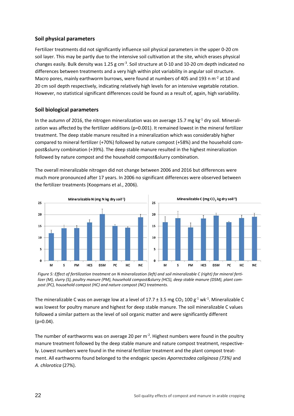#### **Soil physical parameters**

Fertilizer treatments did not significantly influence soil physical parameters in the upper 0-20 cm soil layer. This may be partly due to the intensive soil cultivation at the site, which erases physical changes easily. Bulk density was 1.25 g cm<sup>-3</sup>. Soil structure at 0-10 and 10-20 cm depth indicated no differences between treatments and a very high within plot variability in angular soil structure. Macro pores, mainly earthworm burrows, were found at numbers of 405 and 193 n m<sup>-2</sup> at 10 and 20 cm soil depth respectively, indicating relatively high levels for an intensive vegetable rotation. However, no statistical significant differences could be found as a result of, again, high variability.

#### **Soil biological parameters**

In the autumn of 2016, the nitrogen mineralization was on average 15.7 mg kg $^{-1}$  dry soil. Mineralization was affected by the fertilizer additions (p=0.001). It remained lowest in the mineral fertilizer treatment. The deep stable manure resulted in a mineralization which was considerably higher compared to mineral fertilizer (+70%) followed by nature compost (+58%) and the household compost&slurry combination (+39%). The deep stable manure resulted in the highest mineralization followed by nature compost and the household compost&slurry combination.

The overall mineralizable nitrogen did not change between 2006 and 2016 but differences were much more pronounced after 17 years. In 2006 no significant differences were observed between the fertilizer treatments (Koopmans et al., 2006).



*Figure 5: Effect of fertilization treatment on N mineralization (left) and soil mineralizable C (right) for mineral fertilizer (M), slurry (S), poultry manure (PM), household compost&slurry (HCS), deep stable manure (DSM), plant compost (PC), household compost (HC) and nature compost (NC) treatments.*

The mineralizable C was on average low at a level of 17.7  $\pm$  3.5 mg CO<sub>2</sub> 100 g<sup>-1</sup> wk<sup>-1</sup>. Mineralizable C was lowest for poultry manure and highest for deep stable manure. The soil mineralizable C values followed a similar pattern as the level of soil organic matter and were significantly different  $(p=0.04)$ .

The number of earthworms was on average 20 per m<sup>-2</sup>. Highest numbers were found in the poultry manure treatment followed by the deep stable manure and nature compost treatment, respectively. Lowest numbers were found in the mineral fertilizer treatment and the plant compost treatment. All earthworms found belonged to the endogeic species *Aporrectodea caliginosa (73%)* and *A. chlorotica* (27%).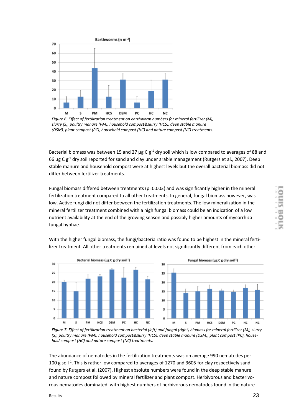

*Figure 6: Effect of fertilization treatment on earthworm numbers for mineral fertilizer (M), slurry (S), poultry manure (PM), household compost&slurry (HCS), deep stable manure (DSM), plant compost (PC), household compost (HC) and nature compost (NC) treatments.*

Bacterial biomass was between 15 and 27  $\mu$ g C g<sup>-1</sup> dry soil which is low compared to averages of 88 and 66  $\mu$ g C g<sup>-1</sup> dry soil reported for sand and clay under arable management (Rutgers et al., 2007). Deep stable manure and household compost were at highest levels but the overall bacterial biomass did not differ between fertilizer treatments.

Fungal biomass differed between treatments (p=0.003) and was significantly higher in the mineral fertilization treatment compared to all other treatments. In general, fungal biomass however, was low. Active fungi did not differ between the fertilization treatments. The low mineralization in the mineral fertilizer treatment combined with a high fungal biomass could be an indication of a low nutrient availability at the end of the growing season and possibly higher amounts of mycorrhiza fungal hyphae.



With the higher fungal biomass, the fungi/bacteria ratio was found to be highest in the mineral fertilizer treatment. All other treatments remained at levels not significantly different from each other.

The abundance of nematodes in the fertilization treatments was on average 990 nematodes per 100 g soil<sup>-1</sup>. This is rather low compared to averages of 1270 and 3605 for clay respectively sand found by Rutgers et al. (2007). Highest absolute numbers were found in the deep stable manure and nature compost followed by mineral fertilizer and plant compost. Herbivorous and bacterivorous nematodes dominated with highest numbers of herbivorous nematodes found in the nature

*Figure 7: Effect of fertilization treatment on bacterial (left) and fungal (right) biomass for mineral fertilizer (M), slurry (S), poultry manure (PM), household compost&slurry (HCS), deep stable manure (DSM), plant compost (PC), household compost (HC) and nature compost (NC) treatments.*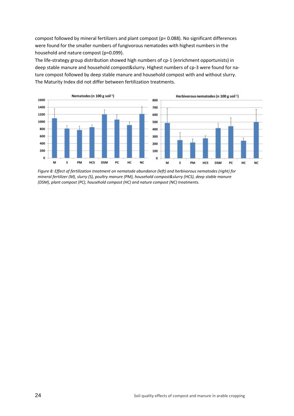compost followed by mineral fertilizers and plant compost (p= 0.088). No significant differences were found for the smaller numbers of fungivorous nematodes with highest numbers in the household and nature compost (p=0.099).

The life-strategy group distribution showed high numbers of cp-1 (enrichment opportunists) in deep stable manure and household compost&slurry. Highest numbers of cp-3 were found for nature compost followed by deep stable manure and household compost with and without slurry. The Maturity Index did not differ between fertilization treatments.



*Figure 8: Effect of fertilization treatment on nematode abundance (left) and herbivorous nematodes (right) for mineral fertilizer (M), slurry (S), poultry manure (PM), household compost&slurry (HCS), deep stable manure (DSM), plant compost (PC), household compost (HC) and nature compost (NC) treatments.*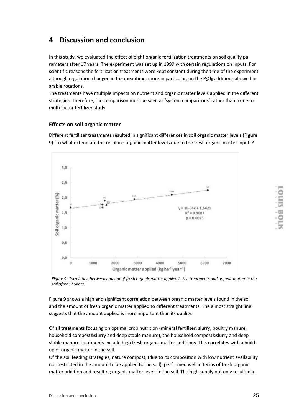### **4 Discussion and conclusion**

In this study, we evaluated the effect of eight organic fertilization treatments on soil quality parameters after 17 years. The experiment was set up in 1999 with certain regulations on inputs. For scientific reasons the fertilization treatments were kept constant during the time of the experiment although regulation changed in the meantime, more in particular, on the  $P_2O_5$  additions allowed in arable rotations.

The treatments have multiple impacts on nutrient and organic matter levels applied in the different strategies. Therefore, the comparison must be seen as 'system comparisons' rather than a one- or multi factor fertilizer study.

#### **Effects on soil organic matter**

Different fertilizer treatments resulted in significant differences in soil organic matter levels [\(Figure](#page-24-0)  [9\)](#page-24-0). To what extend are the resulting organic matter levels due to the fresh organic matter inputs?



<span id="page-24-0"></span>*Figure 9: Correlation between amount of fresh organic matter applied in the treatments and organic matter in the soil after 17 years.* 

[Figure 9](#page-24-0) shows a high and significant correlation between organic matter levels found in the soil and the amount of fresh organic matter applied to different treatments. The almost straight line suggests that the amount applied is more important than its quality.

Of all treatments focusing on optimal crop nutrition (mineral fertilizer, slurry, poultry manure, household compost&slurry and deep stable manure), the household compost&slurry and deep stable manure treatments include high fresh organic matter additions. This correlates with a buildup of organic matter in the soil.

Of the soil feeding strategies, nature compost, (due to its composition with low nutrient availability not restricted in the amount to be applied to the soil), performed well in terms of fresh organic matter addition and resulting organic matter levels in the soil. The high supply not only resulted in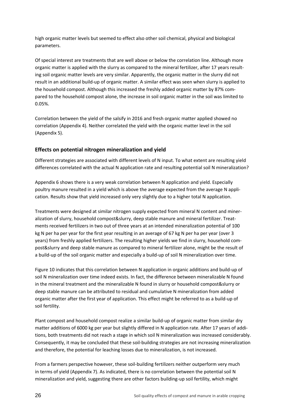high organic matter levels but seemed to effect also other soil chemical, physical and biological parameters.

Of special interest are treatments that are well above or below the correlation line. Although more organic matter is applied with the slurry as compared to the mineral fertilizer, after 17 years resulting soil organic matter levels are very similar. Apparently, the organic matter in the slurry did not result in an additional build-up of organic matter. A similar effect was seen when slurry is applied to the household compost. Although this increased the freshly added organic matter by 87% compared to the household compost alone, the increase in soil organic matter in the soil was limited to 0.05%.

Correlation between the yield of the salsify in 2016 and fresh organic matter applied showed no correlation [\(Appendix 4\)](#page-34-0). Neither correlated the yield with the organic matter level in the soil [\(Appendix 5\)](#page-35-0).

#### **Effects on potential nitrogen mineralization and yield**

Different strategies are associated with different levels of N input. To what extent are resulting yield differences correlated with the actual N application rate and resulting potential soil N mineralization?

[Appendix 6](#page-36-0) shows there is a very weak correlation between N application and yield. Especially poultry manure resulted in a yield which is above the average expected from the average N application. Results show that yield increased only very slightly due to a higher total N application.

Treatments were designed at similar nitrogen supply expected from mineral N content and mineralization of slurry, household compost&slurry, deep stable manure and mineral fertilizer. Treatments received fertilizers in two out of three years at an intended mineralization potential of 100 kg N per ha per year for the first year resulting in an average of 67 kg N per ha per year (over 3 years) from freshly applied fertilizers. The resulting higher yields we find in slurry, household compost&slurry and deep stable manure as compared to mineral fertilizer alone, might be the result of a build-up of the soil organic matter and especially a build-up of soil N mineralization over time.

[Figure 10](#page-26-0) indicates that this correlation between N application in organic additions and build-up of soil N mineralization over time indeed exists. In fact, the difference between mineralizable N found in the mineral treatment and the mineralizable N found in slurry or household compost&slurry or deep stable manure can be attributed to residual and cumulative N mineralization from added organic matter after the first year of application. This effect might be referred to as a build-up of soil fertility.

Plant compost and household compost realize a similar build-up of organic matter from similar dry matter additions of 6000 kg per year but slightly differed in N application rate. After 17 years of additions, both treatments did not reach a stage in which soil N mineralization was increased considerably. Consequently, it may be concluded that these soil-building strategies are not increasing mineralization and therefore, the potential for leaching losses due to mineralization, is not increased.

From a farmers perspective however, these soil-building fertilizers neither outperform very much in terms of yield [\(Appendix 7\)](#page-37-0). As indicated, there is no correlation between the potential soil N mineralization and yield, suggesting there are other factors building-up soil fertility, which might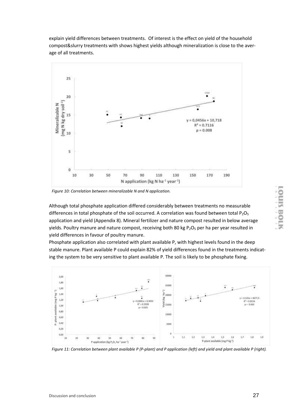explain yield differences between treatments. Of interest is the effect on yield of the household compost&slurry treatments with shows highest yields although mineralization is close to the average of all treatments.



<span id="page-26-0"></span>*Figure 10: Correlation between mineralizable N and N application.* 

Although total phosphate application differed considerably between treatments no measurable differences in total phosphate of the soil occurred. A correlation was found between total  $P_2O_5$ application and yield [\(Appendix 8\)](#page-38-0). Mineral fertilizer and nature compost resulted in below average yields. Poultry manure and nature compost, receiving both 80 kg  $P_2O_5$  per ha per year resulted in yield differences in favour of poultry manure.

Phosphate application also correlated with plant available P, with highest levels found in the deep stable manure. Plant available P could explain 82% of yield differences found in the treatments indicating the system to be very sensitive to plant available P. The soil is likely to be phosphate fixing.



*Figure 11: Correlation between plant available P (P-plant) and P application (left) and yield and plant available P (right).*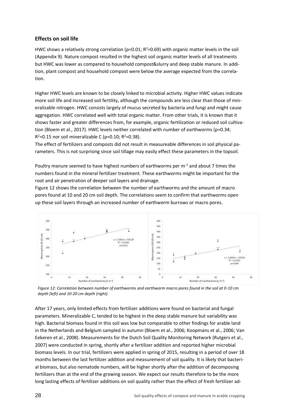#### **Effects on soil life**

HWC shows a relatively strong correlation ( $p=0.01$ ;  $R^2=0.69$ ) with organic matter levels in the soil [\(Appendix 9\)](#page-39-0). Nature compost resulted in the highest soil organic matter levels of all treatments but HWC was lower as compared to household compost&slurry and deep stable manure. In addition, plant compost and household compost were below the average expected from the correlation.

Higher HWC levels are known to be closely linked to microbial activity. Higher HWC values indicate more soil life and increased soil fertility, although the compounds are less clear than those of mineralizable nitrogen. HWC consists largely of mucus secreted by bacteria and fungi and might cause aggregation. HWC correlated well with total organic matter. From other trials, it is known that it shows faster and greater differences from, for example, organic fertilization or reduced soil cultivation (Bloem et al., 2017). HWC levels neither correlated with number of earthworms (p=0.34;  $R^2$ =0.15 nor soil mineralizable C (p=0.10;  $R^2$ =0.38).

The effect of fertilizers and composts did not result in measureable differences in soil physical parameters. This is not surprising since soil tillage may easily effect these parameters in the topsoil.

Poultry manure seemed to have highest numbers of earthworms per  $m<sup>2</sup>$  and about 7 times the numbers found in the mineral fertilizer treatment. These earthworms might be important for the root and air penetration of deeper soil layers and drainage.

[Figure 12](#page-27-0) shows the correlation between the number of earthworms and the amount of macro pores found at 10 and 20 cm soil depth. The correlations seem to confirm that earthworms open up these soil layers through an increased number of earthworm burrows or macro pores.



<span id="page-27-0"></span>*Figure 12: Correlation between number of earthworms and earthworm macro pores found in the soil at 0-10 cm depth (left) and 10-20 cm depth (right).* 

After 17 years, only limited effects from fertilizer additions were found on bacterial and fungal parameters. Mineralizable C, tended to be highest in the deep stable manure but variability was high. Bacterial biomass found in this soil was low but comparable to other findings for arable land in the Netherlands and Belgium sampled in autumn (Bloem et al., 2006; Koopmans et al., 2006; Van Eekeren et al., 2008). Measurements for the Dutch Soil Quality Monitoring Network (Rutgers et al., 2007) were conducted in spring, shortly after a fertilizer addition and reported higher microbial biomass levels. In our trial, fertilizers were applied in spring of 2015, resulting in a period of over 18 months between the last fertilizer addition and measurement of soil quality. It is likely that bacterial biomass, but also nematode numbers, will be higher shortly after the addition of decomposing fertilizers than at the end of the growing season. We expect our results therefore to be the more long lasting effects of fertilizer additions on soil quality rather than the effect of fresh fertilizer ad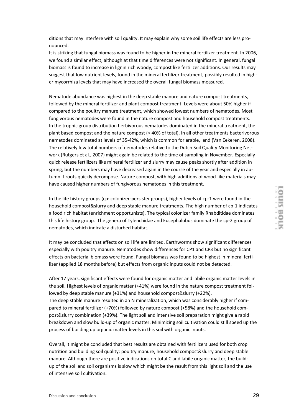ditions that may interfere with soil quality. It may explain why some soil life effects are less pronounced.

It is striking that fungal biomass was found to be higher in the mineral fertilizer treatment. In 2006, we found a similar effect, although at that time differences were not significant. In general, fungal biomass is found to increase in lignin rich woody, compost like fertilizer additions. Our results may suggest that low nutrient levels, found in the mineral fertilizer treatment, possibly resulted in higher mycorrhiza levels that may have increased the overall fungal biomass measured.

Nematode abundance was highest in the deep stable manure and nature compost treatments, followed by the mineral fertilizer and plant compost treatment. Levels were about 50% higher if compared to the poultry manure treatment, which showed lowest numbers of nematodes. Most fungivorous nematodes were found in the nature compost and household compost treatments. In the trophic group distribution herbivorous nematodes dominated in the mineral treatment, the plant based compost and the nature compost (> 40% of total). In all other treatments bacterivorous nematodes dominated at levels of 35-42%, which is common for arable, land (Van Eekeren, 2008). The relatively low total numbers of nematodes relative to the Dutch Soil Quality Monitoring Network (Rutgers et al., 2007) might again be related to the time of sampling in November. Especially quick release fertilizers like mineral fertilizer and slurry may cause peaks shortly after addition in spring, but the numbers may have decreased again in the course of the year and especially in autumn if roots quickly decompose. Nature compost, with high additions of wood-like materials may have caused higher numbers of fungivorous nematodes in this treatment.

In the life history groups (cp: colonizer-persister groups), higher levels of cp-1 were found in the household compost&slurry and deep stable manure treatments. The high number of cp-1 indicates a food rich habitat (enrichment opportunists). The typical colonizer family Rhabditidae dominates this life history group. The genera of Tylenchidae and Eucephalobus dominate the cp-2 group of nematodes, which indicate a disturbed habitat.

It may be concluded that effects on soil life are limited. Earthworms show significant differences especially with poultry manure. Nematodes show differences for CP1 and CP3 but no significant effects on bacterial biomass were found. Fungal biomass was found to be highest in mineral fertilizer (applied 18 months before) but effects from organic inputs could not be detected.

After 17 years, significant effects were found for organic matter and labile organic matter levels in the soil. Highest levels of organic matter (+41%) were found in the nature compost treatment followed by deep stable manure (+31%) and household compost&slurry (+22%). The deep stable manure resulted in an N mineralization, which was considerably higher if compared to mineral fertilizer (+70%) followed by nature compost (+58%) and the household compost&slurry combination (+39%). The light soil and intensive soil preparation might give a rapid breakdown and slow build-up of organic matter. Minimizing soil cultivation could still speed up the process of building up organic matter levels in this soil with organic inputs.

Overall, it might be concluded that best results are obtained with fertilizers used for both crop nutrition and building soil quality: poultry manure, household compost&slurry and deep stable manure. Although there are positive indications on total C and labile organic matter, the buildup of the soil and soil organisms is slow which might be the result from this light soil and the use of intensive soil cultivation.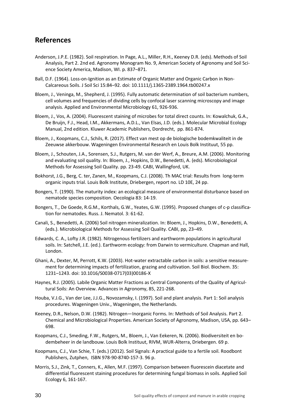### **References**

- Anderson, J.P.E. (1982). Soil respiration. In Page, A.L., Miller, R.H., Keeney D.R. (eds). Methods of Soil Analysis, Part 2. 2nd ed. Agronomy Monogram No. 9, American Society of Agronomy and Soil Science Society America, Madison, WI. p. 837–871.
- Ball, D.F. (1964). Loss-on-Ignition as an Estimate of Organic Matter and Organic Carbon in Non-Calcareous Soils. J Soil Sci 15:84–92. doi: 10.1111/j.1365-2389.1964.tb00247.x
- Bloem, J., Veninga, M., Shepherd, J. (1995). Fully automatic determination of soil bacterium numbers, cell volumes and frequencies of dividing cells by confocal laser scanning microscopy and image analysis. Applied and Environmental Microbiology 61, 926-936.
- Bloem, J., Vos, A. (2004). Fluorescent staining of microbes for total direct counts. In: Kowalchuk, G.A., De Bruijn, F.J., Head, I.M., Akkermans, A.D.L., Van Elsas, J.D. (eds.). Molecular Microbial Ecology Manual, 2nd edition. Kluwer Academic Publishers, Dordrecht, pp. 861-874.
- Bloem, J., Koopmans, C.J., Schils, R. (2017). Effect van mest op de biologische bodemkwaliteit in de Zeeuwse akkerbouw. Wageningen Environmental Research en Louis Bolk Instituut, 55 pp.
- Bloem, J., Schouten, J.A., Sorensen, S.J., Rutgers, M. van der Werf, A., Breure, A.M. (2006). Monitoring and evaluating soil quality. In: Bloem, J., Hopkins, D.W., Benedetti, A. (eds). Microbiological Methods for Assessing Soil Quality. pp. 23-49. CABI, Wallingford, UK.
- Bokhorst, J.G., Berg, C. ter, Zanen, M., Koopmans, C.J. (2008). Th MAC trial: Results from long-term organic inputs trial. Louis Bolk Institute, Driebergen, report no. LD 10E, 24 pp.
- Bongers, T. (1990). The maturity index: an ecological measure of environmental disturbance based on nematode species composition. Oecologia 83: 14-19.
- Bongers, T., De Goede, R.G.M., Korthals, G.W., Yeates, G.W. (1995). Proposed changes of c-p classification for nematodes. Russ. J. Nematol. 3: 61-62.
- Canali, S., Benedetti, A. (2006) Soil nitrogen mineralization. In: Bloem, J., Hopkins, D.W., Benedetti, A. (eds.). Microbiological Methods for Assessing Soil Quality. CABI, pp, 23–49.
- Edwards, C. A., Lofty J.R. (1982). Nitrogenous fertilizers and earthworm populations in agricultural soils. In: Satchell, J.E. (ed.). Earthworm ecology: from Darwin to vermiculture. Chapman and Hall, London.
- Ghani, A., Dexter, M, Perrott, K.W. (2003). Hot-water extractable carbon in soils: a sensitive measurement for determining impacts of fertilization, grazing and cultivation. Soil Biol. Biochem. 35: 1231–1243. doi: 10.1016/S0038-0717(03)00186-X
- Haynes, R.J. (2005). Labile Organic Matter Fractions as Central Components of the Quality of Agricultural Soils: An Overview. Advances in Agronomy, 85, 221-268.
- Houba, V.J.G., Van der Lee, J.J.G., Novozamsky, I. (1997). Soil and plant analysis. Part 1: Soil analysis procedures. Wageningen Univ., Wageningen, the Netherlands.
- Keeney, D.R., Nelson, D.W. (1982). Nitrogen—Inorganic Forms. In: Methods of Soil Analysis. Part 2. Chemical and Microbiological Properties. American Society of Agronomy, Madison, USA, pp. 643– 698.
- Koopmans, C.J., Smeding, F.W., Rutgers, M., Bloem, J., Van Eekeren, N. (2006). Biodiversiteit en bodembeheer in de landbouw. Louis Bolk Instituut, RIVM, WUR-Alterra, Driebergen. 69 p.
- Koopmans, C.J., Van Schie, T. (eds.) (2012). Soil Signals: A practical guide to a fertile soil. Roodbont Publishers, Zutphen, ISBN 978-90-8740-157-3. 96 p.
- Morris, S.J., Zink, T., Conners, K., Allen, M.F. (1997). Comparison between fluorescein diacetate and differential fluorescent staining procedures for determining fungal biomass in soils. Applied Soil Ecology 6, 161-167.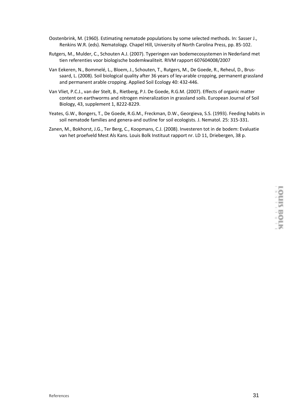- Oostenbrink, M. (1960). Estimating nematode populations by some selected methods. In: Sasser J., Renkins W.R. (eds). Nematology. Chapel Hill, University of North Carolina Press, pp. 85-102.
- Rutgers, M., Mulder, C., Schouten A.J. (2007). Typeringen van bodemecosystemen in Nederland met tien referenties voor biologische bodemkwaliteit. RIVM rapport 607604008/2007
- Van Eekeren, N., Bommelé, L., Bloem, J., Schouten, T., Rutgers, M., De Goede, R., Reheul, D., Brussaard, L. (2008). Soil biological quality after 36 years of ley-arable cropping, permanent grassland and permanent arable cropping. Applied Soil Ecology 40: 432-446.
- Van Vliet, P.C.J., van der Stelt, B., Rietberg, P.I. De Goede, R.G.M. (2007). Effects of organic matter content on earthworms and nitrogen mineralization in grassland soils. European Journal of Soil Biology, 43, supplement 1, 8222-8229.
- Yeates, G.W., Bongers, T., De Goede, R.G.M., Freckman, D.W., Georgieva, S.S. (1993). Feeding habits in soil nematode families and genera-and outline for soil ecologists. J. Nematol. 25: 315-331.
- Zanen, M., Bokhorst, J.G., Ter Berg, C., Koopmans, C.J. (2008). Investeren tot in de bodem: Evaluatie van het proefveld Mest Als Kans. Louis Bolk Instituut rapport nr. LD 11, Driebergen, 38 p.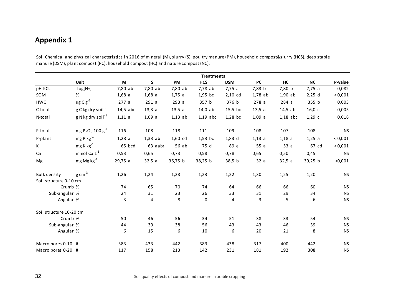Soil Chemical and physical characteristics in 2016 of mineral (M), slurry (S), poultry manure (PM), household compost&slurry (HCS), deep stable manure (DSM), plant compost (PC), household compost (HC) and nature compost (NC).

<span id="page-31-0"></span>

|                         |                                                      | <b>Treatments</b> |           |           |            |            |           |            |           |           |
|-------------------------|------------------------------------------------------|-------------------|-----------|-----------|------------|------------|-----------|------------|-----------|-----------|
|                         | <b>Unit</b>                                          | M                 | S         | PM        | <b>HCS</b> | <b>DSM</b> | PC        | HC         | <b>NC</b> | P-value   |
| pH-KCL                  | $-log[H+]$                                           | 7,80 ab           | 7,80 ab   | 7,80 ab   | 7,78 ab    | 7,75a      | 7,83 b    | 7,80 b     | 7,75a     | 0,082     |
| SOM                     | %                                                    | 1,68a             | 1,68a     | 1,75a     | 1,95 bc    | $2,10$ cd  | $1,78$ ab | $1,90$ ab  | $2,25$ d  | < 0,001   |
| <b>HWC</b>              | $ug C g^{-1}$                                        | 277a              | 291a      | 293a      | 357 b      | 376 b      | 278a      | 284a       | 355 b     | 0,003     |
| C-total                 | g C kg dry soil <sup>-1</sup>                        | $14,5$ abc        | 13,3a     | 13,5a     | $14,0$ ab  | 15,5 bc    | 13,5a     | $14,5$ ab  | 16,0c     | 0,005     |
| N-total                 | $g$ N kg dry soil <sup>-1</sup>                      | 1,11a             | 1,09a     | $1,13$ ab | $1,19$ abc | 1,28 bc    | 1,09a     | $1,18$ abc | 1,29c     | 0,018     |
| P-total                 | mg P <sub>2</sub> O <sub>5</sub> 100 g <sup>-1</sup> | 116               | 108       | 118       | 111        | 109        | 108       | 107        | 108       | <b>NS</b> |
| P-plant                 | $mgP kg^{-1}$                                        | 1,28a             | $1,33$ ab | 1,60 cd   | $1,53$ bc  | $1,83$ d   | 1,13 a    | 1,18a      | 1,25 a    | < 0,001   |
| K                       | $mg$ K $kg^{-1}$                                     | 65 bcd            | 63 aabo   | 56 ab     | 75 d       | 89 e       | 55a       | 53a        | 67 cd     | < 0,001   |
| Ca                      | mmol Ca L <sup>-1</sup>                              | 0,53              | 0,65      | 0,73      | 0,58       | 0,78       | 0,65      | 0,50       | 0,45      | <b>NS</b> |
| Mg                      | mg Mg kg <sup>-1</sup>                               | 29,75a            | 32,5a     | 36,75 b   | 38,25 b    | 38,5 b     | 32a       | 32,5a      | 39,25 b   | < 0,001   |
| Bulk density            | $g \text{ cm}^{-3}$                                  | 1,26              | 1,24      | 1,28      | 1,23       | 1,22       | 1,30      | 1,25       | 1,20      | <b>NS</b> |
| Soil structure 0-10 cm  |                                                      |                   |           |           |            |            |           |            |           |           |
|                         | Crumb %                                              | 74                | 65        | 70        | 74         | 64         | 66        | 66         | 60        | <b>NS</b> |
| Sub-angular %           |                                                      | 24                | 31        | 23        | 26         | 33         | 31        | 29         | 34        | <b>NS</b> |
| Angular %               |                                                      | 3                 | 4         | 8         | 0          | 4          | 3         | 5          | 6         | <b>NS</b> |
| Soil structure 10-20 cm |                                                      |                   |           |           |            |            |           |            |           |           |
|                         | Crumb %                                              | 50                | 46        | 56        | 34         | 51         | 38        | 33         | 54        | <b>NS</b> |
| Sub-angular %           |                                                      | 44                | 39        | 38        | 56         | 43         | 43        | 46         | 39        | <b>NS</b> |
| Angular %               |                                                      | 6                 | 15        | 6         | 10         | 6          | 20        | 21         | 8         | <b>NS</b> |
| Macro pores 0-10 #      |                                                      | 383               | 433       | 442       | 383        | 438        | 317       | 400        | 442       | <b>NS</b> |
| Macro pores 0-20 #      |                                                      | 117               | 158       | 213       | 142        | 231        | 181       | 192        | 308       | <b>NS</b> |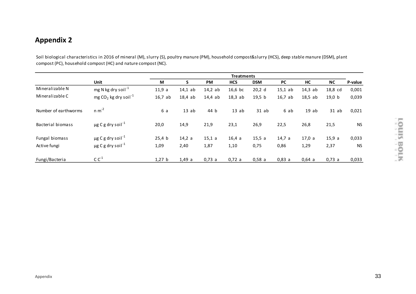Soil biological characteristics in 2016 of mineral (M), slurry (S), poultry manure (PM), household compost&slurry (HCS), deep stable manure (DSM), plant compost (PC), household compost (HC) and nature compost (NC).

|                      |                                    | <b>Treatments</b> |           |           |            |            |           |           |           |           |
|----------------------|------------------------------------|-------------------|-----------|-----------|------------|------------|-----------|-----------|-----------|-----------|
|                      | <b>Unit</b>                        | M                 | S         | <b>PM</b> | <b>HCS</b> | <b>DSM</b> | <b>PC</b> | HC        | <b>NC</b> | P-value   |
| Mineralizable N      | mg N kg dry soil <sup>-1</sup>     | 11,9a             | $14,1$ ab | 14,2ab    | $16,6$ bc  | 20,2 d     | $15,1$ ab | $14,3$ ab | 18,8 cd   | 0,001     |
| Mineralizable C      | mg $CO2$ kg dry soil <sup>-1</sup> | $16,7$ ab         | 18,4ab    | $14,4$ ab | 18,3ab     | 19,5 b     | $16,7$ ab | 18,5ab    | 19,0 b    | 0,039     |
| Number of earthworms | $n m-2$                            | 6 a               | 13ab      | 44 b      | 13ab       | $31$ ab    | 6 ab      | 19ab      | $31$ ab   | 0,021     |
| Bacterial biomass    | $\mu$ g C g dry soil <sup>-1</sup> | 20,0              | 14,9      | 21,9      | 23,1       | 26,9       | 22,5      | 26,8      | 21,5      | <b>NS</b> |
| Fungal biomass       | $\mu$ g C g dry soil <sup>-1</sup> | 25,4 b            | 14,2 a    | 15,1 a    | 16,4a      | 15,5a      | 14,7a     | 17,0a     | 15,9a     | 0,033     |
| Active fungi         | $\mu$ g C g dry soil <sup>-1</sup> | 1,09              | 2,40      | 1,87      | 1,10       | 0,75       | 0,86      | 1,29      | 2,37      | <b>NS</b> |
| Fungi/Bacteria       | $C C^{-1}$                         | 1,27 b            | 1,49a     | 0,73 a    | 0,72 a     | 0,58a      | 0.83a     | 0,64a     | 0,73a     | 0,033     |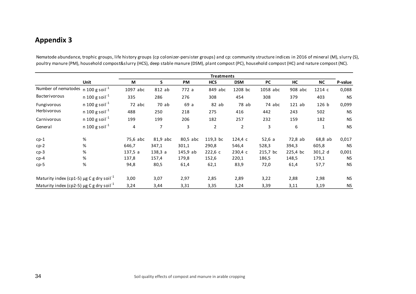Nematode abundance, trophic groups, life history groups (cp colonizer-persister groups) and cp: community structure indices in 2016 of mineral (M), slurry (S), poultry manure (PM), household compost&slurry (HCS), deep stable manure (DSM), plant compost (PC), household compost (HC) and nature compost (NC).

|                                                           |                            |          | <b>Treatments</b> |          |                |                |           |          |              |           |
|-----------------------------------------------------------|----------------------------|----------|-------------------|----------|----------------|----------------|-----------|----------|--------------|-----------|
|                                                           | Unit                       | M        | S.                | PM       | <b>HCS</b>     | <b>DSM</b>     | <b>PC</b> | HC       | <b>NC</b>    | P-value   |
| Number of nematodes                                       | n 100 g soil $^{-1}$       | 1097 abc | 812 ab            | 772 a    | 849 abc        | 1208 bc        | 1058 abc  | 908 abc  | 1214 с       | 0,088     |
| <b>Bacterivorous</b>                                      | n 100 g soil <sup>-1</sup> | 335      | 286               | 276      | 308            | 454            | 308       | 379      | 403          | <b>NS</b> |
| Fungivorous                                               | n 100 g soil $^{-1}$       | 72 abc   | 70 ab             | 69 a     | $82$ ab        | 78 ab          | 74 abc    | $121$ ab | 126 b        | 0,099     |
| Herbivorous                                               | n 100 g soil $^{-1}$       | 488      | 250               | 218      | 275            | 416            | 442       | 243      | 502          | <b>NS</b> |
| Carnivorous                                               | n 100 g soil <sup>-1</sup> | 199      | 199               | 206      | 182            | 257            | 232       | 159      | 182          | <b>NS</b> |
| General                                                   | n 100 g soil $^{-1}$       | 4        | 7                 | 3        | $\overline{2}$ | $\overline{2}$ | 3         | 6        | $\mathbf{1}$ | <b>NS</b> |
| $cp-1$                                                    | %                          | 75,6 abc | 81,9 abc          | 80,5 abc | 119,3 bc       | 124,4 c        | 52,6a     | 72,8 ab  | 68,8 ab      | 0,017     |
| $cp-2$                                                    | %                          | 646,7    | 347,1             | 301,1    | 290,8          | 546,4          | 528,3     | 394,3    | 605,8        | <b>NS</b> |
| $cp-3$                                                    | %                          | 137,5a   | 138,3a            | 145,9ab  | 222,6c         | 230,4 c        | 215,7 bc  | 225,4 bc | 301,2 d      | 0,001     |
| $cp-4$                                                    | %                          | 137,8    | 157,4             | 179,8    | 152,6          | 220,1          | 186,5     | 148,5    | 179,1        | <b>NS</b> |
| $cp-5$                                                    | $\%$                       | 94,8     | 80,5              | 61,4     | 62,1           | 83,9           | 72,0      | 61,4     | 57,7         | <b>NS</b> |
| Maturity index (cp1-5) $\mu$ g C g dry soil <sup>-1</sup> |                            | 3,00     | 3,07              | 2,97     | 2,85           | 2,89           | 3,22      | 2,88     | 2,98         | <b>NS</b> |
| Maturity index (cp2-5) $\mu$ g C g dry soil <sup>-1</sup> |                            | 3,24     | 3,44              | 3,31     | 3,35           | 3,24           | 3,39      | 3,11     | 3,19         | <b>NS</b> |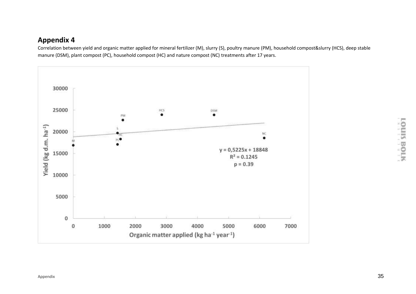Correlation between yield and organic matter applied for mineral fertilizer (M), slurry (S), poultry manure (PM), household compost&slurry (HCS), deep stable manure (DSM), plant compost (PC), household compost (HC) and nature compost (NC) treatments after 17 years.

<span id="page-34-0"></span>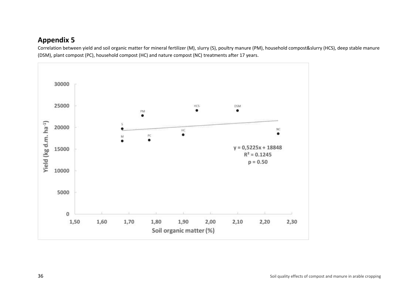Correlation between yield and soil organic matter for mineral fertilizer (M), slurry (S), poultry manure (PM), household compost&slurry (HCS), deep stable manure (DSM), plant compost (PC), household compost (HC) and nature compost (NC) treatments after 17 years.

<span id="page-35-0"></span>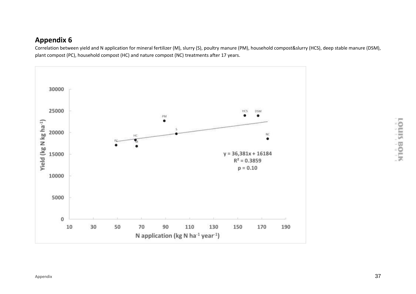Correlation between yield and N application for mineral fertilizer (M), slurry (S), poultry manure (PM), household compost&slurry (HCS), deep stable manure (DSM), plant compost (PC), household compost (HC) and nature compost (NC) treatments after 17 years.

<span id="page-36-0"></span>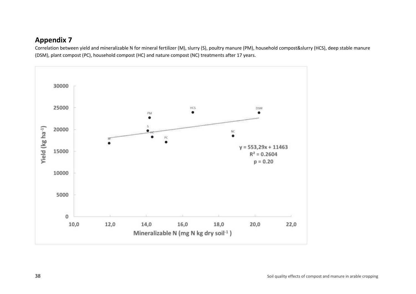Correlation between yield and mineralizable N for mineral fertilizer (M), slurry (S), poultry manure (PM), household compost&slurry (HCS), deep stable manure (DSM), plant compost (PC), household compost (HC) and nature compost (NC) treatments after 17 years.

<span id="page-37-0"></span>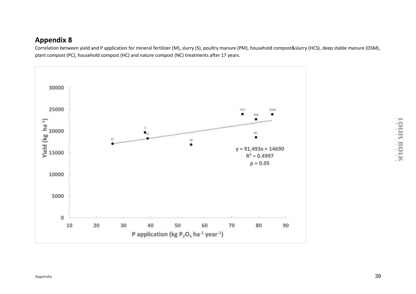Correlation between yield and P application for mineral fertilizer (M), slurry (S), poultry manure (PM), household compost&slurry (HCS), deep stable manure (DSM), plant compost (PC), household compost (HC) and nature compost (NC) treatments after 17 years.

<span id="page-38-0"></span>